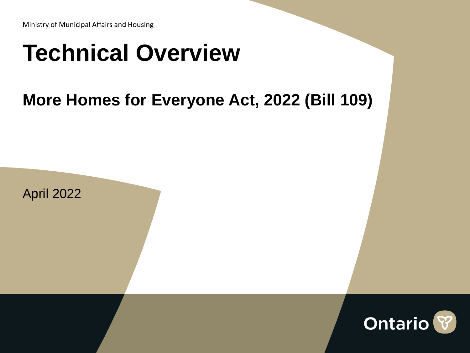# **Technical Overview**

### **More Homes for Everyone Act, 2022 (Bill 109)**



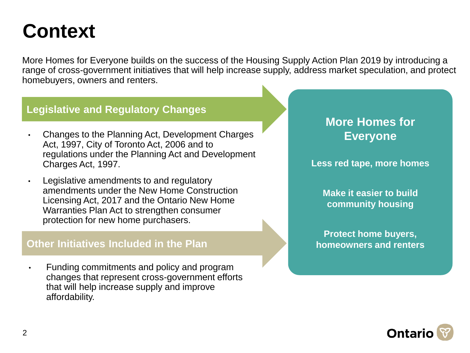### **Context**

More Homes for Everyone builds on the success of the Housing Supply Action Plan 2019 by introducing a range of cross-government initiatives that will help increase supply, address market speculation, and protect homebuyers, owners and renters.

### **Legislative and Regulatory Changes**

- Changes to the Planning Act, Development Charges Act, 1997, City of Toronto Act, 2006 and to regulations under the Planning Act and Development Charges Act, 1997.
- Legislative amendments to and regulatory amendments under the New Home Construction Licensing Act, 2017 and the Ontario New Home Warranties Plan Act to strengthen consumer protection for new home purchasers.

### **Other Initiatives Included in the Plan**

• Funding commitments and policy and program changes that represent cross-government efforts that will help increase supply and improve affordability.

### **More Homes for Everyone**

**Less red tape, more homes**

**Make it easier to build community housing**

**Protect home buyers, homeowners and renters**

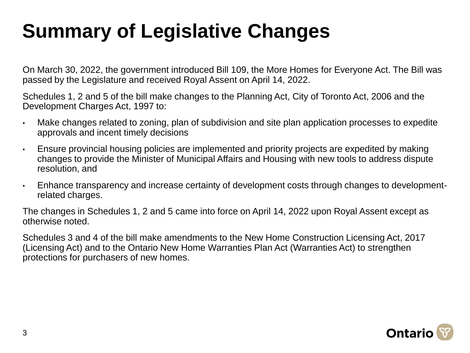## **Summary of Legislative Changes**

On March 30, 2022, the government introduced Bill 109, the More Homes for Everyone Act. The Bill was passed by the Legislature and received Royal Assent on April 14, 2022.

Schedules 1, 2 and 5 of the bill make changes to the Planning Act, City of Toronto Act, 2006 and the Development Charges Act, 1997 to:

- Make changes related to zoning, plan of subdivision and site plan application processes to expedite approvals and incent timely decisions
- Ensure provincial housing policies are implemented and priority projects are expedited by making changes to provide the Minister of Municipal Affairs and Housing with new tools to address dispute resolution, and
- Enhance transparency and increase certainty of development costs through changes to developmentrelated charges.

The changes in Schedules 1, 2 and 5 came into force on April 14, 2022 upon Royal Assent except as otherwise noted.

Schedules 3 and 4 of the bill make amendments to the New Home Construction Licensing Act, 2017 (Licensing Act) and to the Ontario New Home Warranties Plan Act (Warranties Act) to strengthen protections for purchasers of new homes.

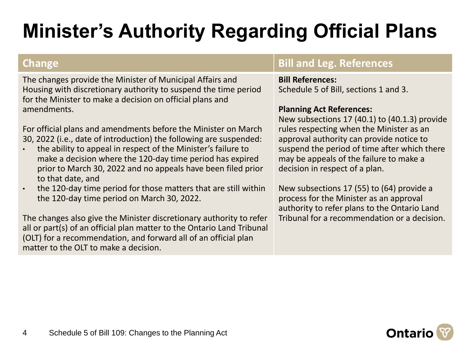## **Minister's Authority Regarding Official Plans**

The changes provide the Minister of Municipal Affairs and Housing with discretionary authority to suspend the time period for the Minister to make a decision on official plans and amendments.

For official plans and amendments before the Minister on March 30, 2022 (i.e., date of introduction) the following are suspended:

- the ability to appeal in respect of the Minister's failure to make a decision where the 120-day time period has expired prior to March 30, 2022 and no appeals have been filed prior to that date, and
- the 120-day time period for those matters that are still within the 120-day time period on March 30, 2022.

The changes also give the Minister discretionary authority to refer all or part(s) of an official plan matter to the Ontario Land Tribunal (OLT) for a recommendation, and forward all of an official plan matter to the OLT to make a decision.

### **Change Bill and Leg. References**

### **Bill References:**

Schedule 5 of Bill, sections 1 and 3.

### **Planning Act References:**

New subsections 17 (40.1) to (40.1.3) provide rules respecting when the Minister as an approval authority can provide notice to suspend the period of time after which there may be appeals of the failure to make a decision in respect of a plan.

New subsections 17 (55) to (64) provide a process for the Minister as an approval authority to refer plans to the Ontario Land Tribunal for a recommendation or a decision.

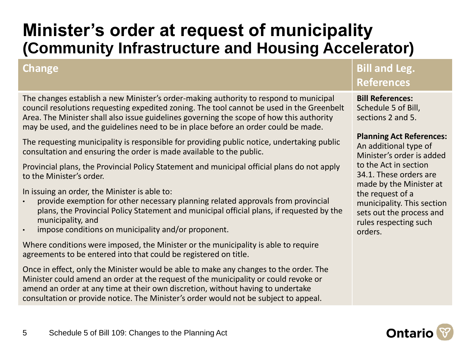### **Minister's order at request of municipality (Community Infrastructure and Housing Accelerator)**

The changes establish a new Minister's order-making authority to respond to municipal council resolutions requesting expedited zoning. The tool cannot be used in the Greenbelt Area. The Minister shall also issue guidelines governing the scope of how this authority may be used, and the guidelines need to be in place before an order could be made.

The requesting municipality is responsible for providing public notice, undertaking public consultation and ensuring the order is made available to the public.

Provincial plans, the Provincial Policy Statement and municipal official plans do not apply to the Minister's order.

In issuing an order, the Minister is able to:

- provide exemption for other necessary planning related approvals from provincial plans, the Provincial Policy Statement and municipal official plans, if requested by the municipality, and
- impose conditions on municipality and/or proponent.

Where conditions were imposed, the Minister or the municipality is able to require agreements to be entered into that could be registered on title.

Once in effect, only the Minister would be able to make any changes to the order. The Minister could amend an order at the request of the municipality or could revoke or amend an order at any time at their own discretion, without having to undertake consultation or provide notice. The Minister's order would not be subject to appeal.

### **Change Bill and Leg. References**

**Bill References:** Schedule 5 of Bill, sections 2 and 5.

### **Planning Act References:**

An additional type of Minister's order is added to the Act in section 34.1. These orders are made by the Minister at the request of a municipality. This section sets out the process and rules respecting such orders.

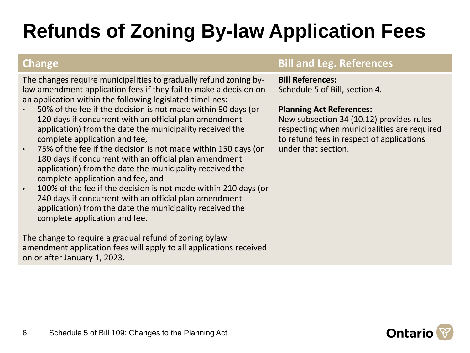## **Refunds of Zoning By-law Application Fees**

The changes require municipalities to gradually refund zoning bylaw amendment application fees if they fail to make a decision on an application within the following legislated timelines:

- 50% of the fee if the decision is not made within 90 days (or 120 days if concurrent with an official plan amendment application) from the date the municipality received the complete application and fee,
- 75% of the fee if the decision is not made within 150 days (or 180 days if concurrent with an official plan amendment application) from the date the municipality received the complete application and fee, and
- 100% of the fee if the decision is not made within 210 days (or 240 days if concurrent with an official plan amendment application) from the date the municipality received the complete application and fee.

The change to require a gradual refund of zoning bylaw amendment application fees will apply to all applications received on or after January 1, 2023.

### **Change Bill and Leg. References**

### **Bill References:**

Schedule 5 of Bill, section 4.

### **Planning Act References:**

New subsection 34 (10.12) provides rules respecting when municipalities are required to refund fees in respect of applications under that section.

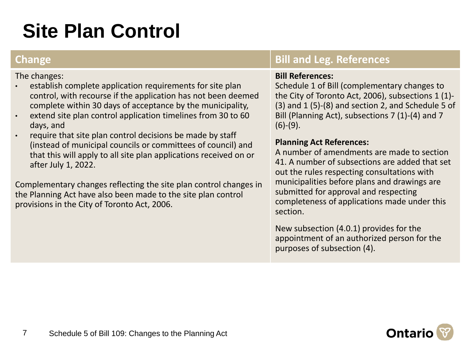## **Site Plan Control**

### **Change Bill and Leg. References**

### **Bill References:**

Schedule 1 of Bill (complementary changes to the City of Toronto Act, 2006), subsections 1 (1)- (3) and 1 (5)-(8) and section 2, and Schedule 5 of Bill (Planning Act), subsections 7 (1)-(4) and 7  $(6)-(9)$ .

### **Planning Act References:**

A number of amendments are made to section 41. A number of subsections are added that set out the rules respecting consultations with municipalities before plans and drawings are submitted for approval and respecting completeness of applications made under this section.

New subsection (4.0.1) provides for the appointment of an authorized person for the purposes of subsection (4).



- establish complete application requirements for site plan control, with recourse if the application has not been deemed complete within 30 days of acceptance by the municipality,
- extend site plan control application timelines from 30 to 60 days, and
- require that site plan control decisions be made by staff (instead of municipal councils or committees of council) and that this will apply to all site plan applications received on or after July 1, 2022.

Complementary changes reflecting the site plan control changes in the Planning Act have also been made to the site plan control provisions in the City of Toronto Act, 2006.

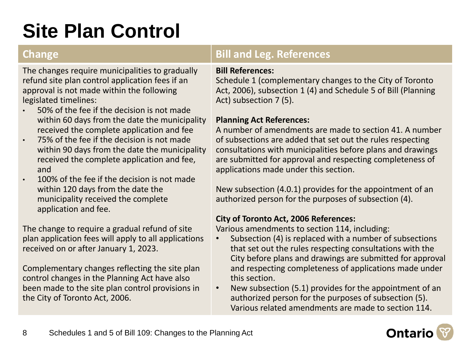## **Site Plan Control**

The changes require municipalities to gradually refund site plan control application fees if an approval is not made within the following legislated timelines:

- 50% of the fee if the decision is not made within 60 days from the date the municipality received the complete application and fee
- 75% of the fee if the decision is not made within 90 days from the date the municipality received the complete application and fee, and
- 100% of the fee if the decision is not made within 120 days from the date the municipality received the complete application and fee.

The change to require a gradual refund of site plan application fees will apply to all applications received on or after January 1, 2023.

Complementary changes reflecting the site plan control changes in the Planning Act have also been made to the site plan control provisions in the City of Toronto Act, 2006.

### **Change Bill and Leg. References**

### **Bill References:**

Schedule 1 (complementary changes to the City of Toronto Act, 2006), subsection 1 (4) and Schedule 5 of Bill (Planning Act) subsection 7 (5).

### **Planning Act References:**

A number of amendments are made to section 41. A number of subsections are added that set out the rules respecting consultations with municipalities before plans and drawings are submitted for approval and respecting completeness of applications made under this section.

New subsection (4.0.1) provides for the appointment of an authorized person for the purposes of subsection (4).

### **City of Toronto Act, 2006 References:**

Various amendments to section 114, including:

- Subsection (4) is replaced with a number of subsections that set out the rules respecting consultations with the City before plans and drawings are submitted for approval and respecting completeness of applications made under this section.
- New subsection (5.1) provides for the appointment of an authorized person for the purposes of subsection (5). Various related amendments are made to section 114.

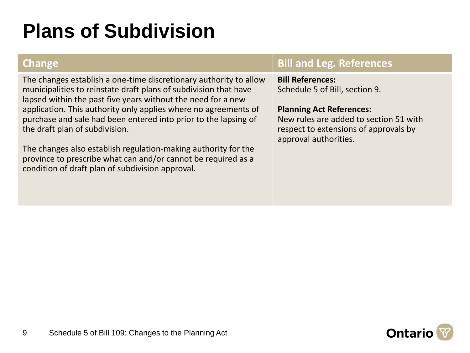## **Plans of Subdivision**

The changes establish a one-time discretionary authority to allow municipalities to reinstate draft plans of subdivision that have lapsed within the past five years without the need for a new application. This authority only applies where no agreements of purchase and sale had been entered into prior to the lapsing of the draft plan of subdivision.

The changes also establish regulation-making authority for the province to prescribe what can and/or cannot be required as a condition of draft plan of subdivision approval.

### **Change Bill and Leg. References**

**Bill References:**

Schedule 5 of Bill, section 9.

### **Planning Act References:**

New rules are added to section 51 with respect to extensions of approvals by approval authorities.

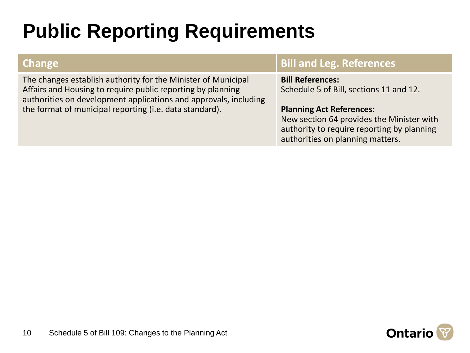## **Public Reporting Requirements**

The changes establish authority for the Minister of Municipal Affairs and Housing to require public reporting by planning authorities on development applications and approvals, including the format of municipal reporting (i.e. data standard).

### **Change Bill and Leg. References**

**Bill References:** Schedule 5 of Bill, sections 11 and 12.

### **Planning Act References:**

New section 64 provides the Minister with authority to require reporting by planning authorities on planning matters.

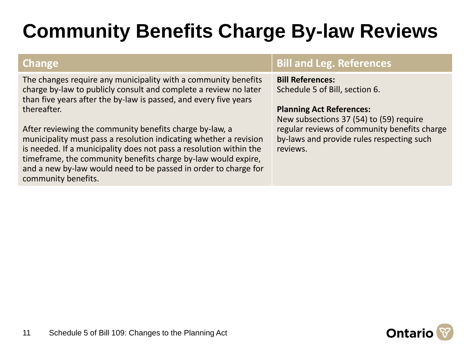## **Community Benefits Charge By-law Reviews**

The changes require any municipality with a community benefits charge by-law to publicly consult and complete a review no later than five years after the by-law is passed, and every five years thereafter.

After reviewing the community benefits charge by-law, a municipality must pass a resolution indicating whether a revision is needed. If a municipality does not pass a resolution within the timeframe, the community benefits charge by-law would expire, and a new by-law would need to be passed in order to charge for community benefits.

### **Change Bill and Leg. References**

### **Bill References:**

Schedule 5 of Bill, section 6.

### **Planning Act References:**

New subsections 37 (54) to (59) require regular reviews of community benefits charge by-laws and provide rules respecting such reviews.

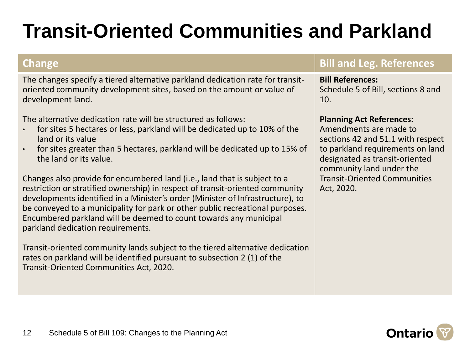## **Transit-Oriented Communities and Parkland**

The changes specify a tiered alternative parkland dedication rate for transitoriented community development sites, based on the amount or value of development land.

The alternative dedication rate will be structured as follows:

- for sites 5 hectares or less, parkland will be dedicated up to 10% of the land or its value
- for sites greater than 5 hectares, parkland will be dedicated up to 15% of the land or its value.

Changes also provide for encumbered land (i.e., land that is subject to a restriction or stratified ownership) in respect of transit-oriented community developments identified in a Minister's order (Minister of Infrastructure), to be conveyed to a municipality for park or other public recreational purposes. Encumbered parkland will be deemed to count towards any municipal parkland dedication requirements.

Transit-oriented community lands subject to the tiered alternative dedication rates on parkland will be identified pursuant to subsection 2 (1) of the Transit-Oriented Communities Act, 2020.

### **Change Bill and Leg. References**

**Bill References:** Schedule 5 of Bill, sections 8 and 10.

### **Planning Act References:**

Amendments are made to sections 42 and 51.1 with respect to parkland requirements on land designated as transit-oriented community land under the Transit-Oriented Communities Act, 2020.

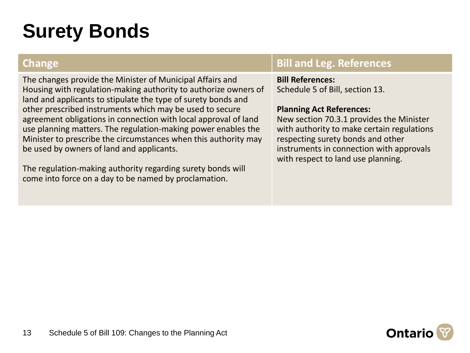## **Surety Bonds**

The changes provide the Minister of Municipal Affairs and Housing with regulation-making authority to authorize owners of land and applicants to stipulate the type of surety bonds and other prescribed instruments which may be used to secure agreement obligations in connection with local approval of land use planning matters. The regulation-making power enables the Minister to prescribe the circumstances when this authority may be used by owners of land and applicants.

The regulation-making authority regarding surety bonds will come into force on a day to be named by proclamation.

### **Change Bill and Leg. References**

**Bill References:** Schedule 5 of Bill, section 13.

### **Planning Act References:**

New section 70.3.1 provides the Minister with authority to make certain regulations respecting surety bonds and other instruments in connection with approvals with respect to land use planning.

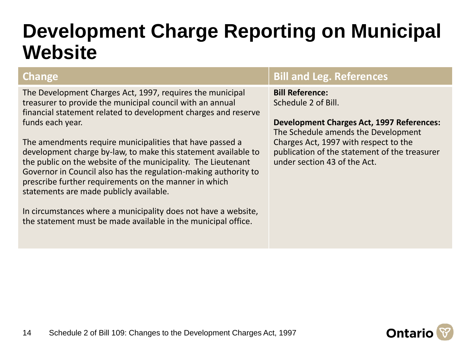### **Development Charge Reporting on Municipal Website**

14

The Development Charges Act, 1997, requires the municipal treasurer to provide the municipal council with an annual financial statement related to development charges and reserve funds each year.

The amendments require municipalities that have passed a development charge by-law, to make this statement available to the public on the website of the municipality. The Lieutenant Governor in Council also has the regulation-making authority to prescribe further requirements on the manner in which statements are made publicly available.

In circumstances where a municipality does not have a website, the statement must be made available in the municipal office.

### **Change Bill and Leg. References**

**Bill Reference:** Schedule 2 of Bill.

### **Development Charges Act, 1997 References:**

The Schedule amends the Development Charges Act, 1997 with respect to the publication of the statement of the treasurer under section 43 of the Act.

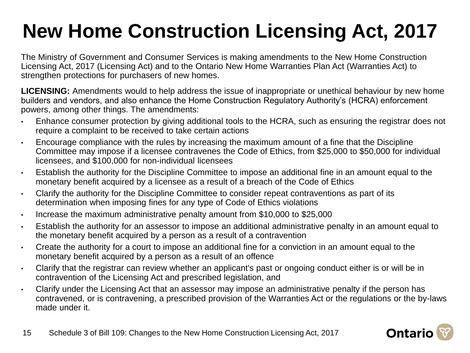# **New Home Construction Licensing Act, 2017**

The Ministry of Government and Consumer Services is making amendments to the New Home Construction Licensing Act, 2017 (Licensing Act) and to the Ontario New Home Warranties Plan Act (Warranties Act) to strengthen protections for purchasers of new homes.

**LICENSING:** Amendments would to help address the issue of inappropriate or unethical behaviour by new home builders and vendors, and also enhance the Home Construction Regulatory Authority's (HCRA) enforcement powers, among other things. The amendments:

- Enhance consumer protection by giving additional tools to the HCRA, such as ensuring the registrar does not require a complaint to be received to take certain actions
- Encourage compliance with the rules by increasing the maximum amount of a fine that the Discipline Committee may impose if a licensee contravenes the Code of Ethics, from \$25,000 to \$50,000 for individual licensees, and \$100,000 for non-individual licensees
- Establish the authority for the Discipline Committee to impose an additional fine in an amount equal to the monetary benefit acquired by a licensee as a result of a breach of the Code of Ethics
- Clarify the authority for the Discipline Committee to consider repeat contraventions as part of its determination when imposing fines for any type of Code of Ethics violations
- Increase the maximum administrative penalty amount from \$10,000 to \$25,000
- Establish the authority for an assessor to impose an additional administrative penalty in an amount equal to the monetary benefit acquired by a person as a result of a contravention
- Create the authority for a court to impose an additional fine for a conviction in an amount equal to the monetary benefit acquired by a person as a result of an offence
- Clarify that the registrar can review whether an applicant's past or ongoing conduct either is or will be in contravention of the Licensing Act and prescribed legislation, and
- Clarify under the Licensing Act that an assessor may impose an administrative penalty if the person has contravened, or is contravening, a prescribed provision of the Warranties Act or the regulations or the by-laws made under it.

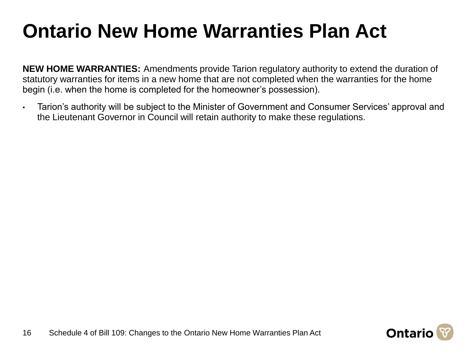## **Ontario New Home Warranties Plan Act**

**NEW HOME WARRANTIES:** Amendments provide Tarion regulatory authority to extend the duration of statutory warranties for items in a new home that are not completed when the warranties for the home begin (i.e. when the home is completed for the homeowner's possession).

• Tarion's authority will be subject to the Minister of Government and Consumer Services' approval and the Lieutenant Governor in Council will retain authority to make these regulations.